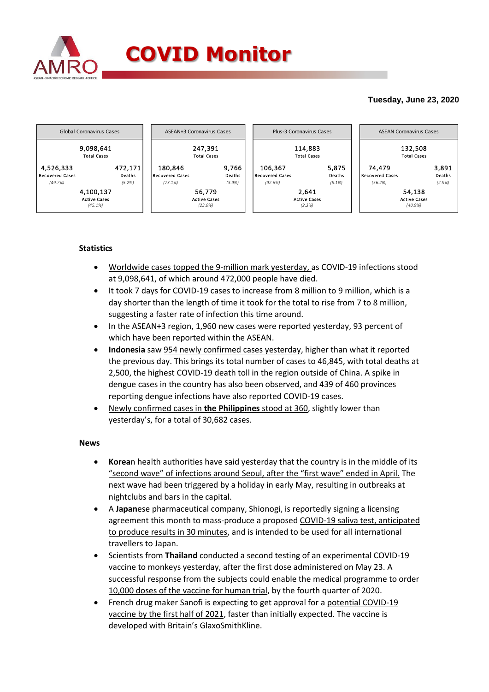

## **Tuesday, June 23, 2020**



## **Statistics**

- Worldwide cases topped the 9-million mark yesterday, as COVID-19 infections stood at 9,098,641, of which around 472,000 people have died.
- It took 7 days for COVID-19 cases to increase from 8 million to 9 million, which is a day shorter than the length of time it took for the total to rise from 7 to 8 million, suggesting a faster rate of infection this time around.
- In the ASEAN+3 region, 1,960 new cases were reported yesterday, 93 percent of which have been reported within the ASEAN.
- **Indonesia** saw 954 newly confirmed cases yesterday, higher than what it reported the previous day. This brings its total number of cases to 46,845, with total deaths at 2,500, the highest COVID-19 death toll in the region outside of China. A spike in dengue cases in the country has also been observed, and 439 of 460 provinces reporting dengue infections have also reported COVID-19 cases.
- Newly confirmed cases in **the Philippines** stood at 360, slightly lower than yesterday's, for a total of 30,682 cases.

## **News**

- **Korea**n health authorities have said yesterday that the country is in the middle of its "second wave" of infections around Seoul, after the "first wave" ended in April. The next wave had been triggered by a holiday in early May, resulting in outbreaks at nightclubs and bars in the capital.
- A **Japan**ese pharmaceutical company, Shionogi, is reportedly signing a licensing agreement this month to mass-produce a proposed COVID-19 saliva test, anticipated to produce results in 30 minutes, and is intended to be used for all international travellers to Japan.
- Scientists from **Thailand** conducted a second testing of an experimental COVID-19 vaccine to monkeys yesterday, after the first dose administered on May 23. A successful response from the subjects could enable the medical programme to order 10,000 doses of the vaccine for human trial, by the fourth quarter of 2020.
- French drug maker Sanofi is expecting to get approval for a potential COVID-19 vaccine by the first half of 2021, faster than initially expected. The vaccine is developed with Britain's GlaxoSmithKline.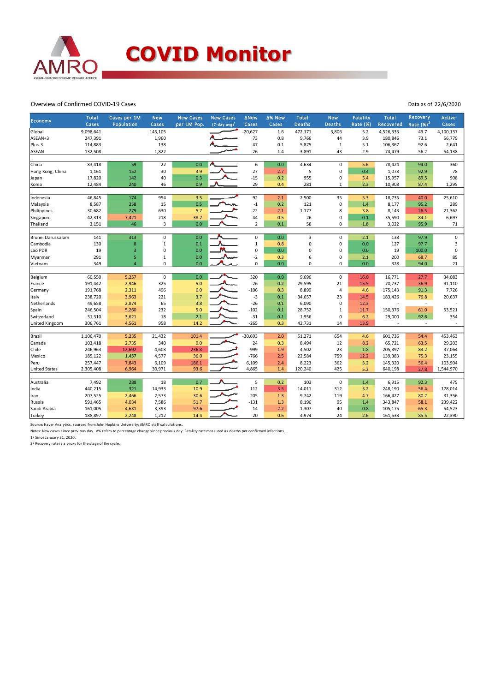

## Overview of Confirmed COVID-19 Cases

Data as of 22/6/2020

| Economy               | Total     | Cases per 1M   | <b>New</b>          | <b>New Cases</b> | <b>New Cases</b> | <b>ANew</b>             | ∆% New | Total         | <b>New</b>     | <b>Fatality</b> | <b>Total</b> | <b>Recovery</b> | <b>Active</b> |
|-----------------------|-----------|----------------|---------------------|------------------|------------------|-------------------------|--------|---------------|----------------|-----------------|--------------|-----------------|---------------|
|                       | Cases     | Population     | Cases               | per 1M Pop.      | $(7-day avg)^1$  | Cases                   | Cases  | <b>Deaths</b> | <b>Deaths</b>  | Rate (%)        | Recovered    | Rate $(%)2$     | Cases         |
| Global                | 9,098,641 |                | 143,105             |                  |                  | $-20,627$               | 1.6    | 472,171       | 3,806          | 5.2             | 4,526,333    | 49.7            | 4,100,137     |
| ASEAN+3               | 247,391   |                | 1,960               |                  |                  | 73                      | 0.8    | 9,766         | 44             | 3.9             | 180,846      | 73.1            | 56,779        |
| Plus-3                | 114,883   |                | 138                 |                  |                  | 47                      | 0.1    | 5,875         | $\mathbf{1}$   | 5.1             | 106,367      | 92.6            | 2,641         |
| <b>ASEAN</b>          | 132,508   |                | 1,822               |                  |                  | 26                      | 1.4    | 3,891         | 43             | 2.9             | 74,479       | 56.2            | 54,138        |
|                       |           |                |                     |                  |                  |                         |        |               |                |                 |              |                 |               |
| China                 | 83,418    | 59             | 22                  | 0.0              |                  | 6                       | 0.0    | 4,634         | $\mathbf 0$    | 5.6             | 78,424       | 94.0            | 360           |
| Hong Kong, China      | 1,161     | 152            | 30                  | 3.9              |                  | 27                      | 2.7    | 5             | $\mathbf 0$    | 0.4             | 1,078        | 92.9            | 78            |
| Japan                 | 17,820    | 142            | 40                  | 0.3              |                  | $-15$                   | 0.2    | 955           | $\mathbf 0$    | 5.4             | 15,957       | 89.5            | 908           |
| Korea                 | 12,484    | 240            | 46                  | 0.9              |                  | 29                      | 0.4    | 281           | $\mathbf{1}$   | 2.3             | 10,908       | 87.4            | 1,295         |
|                       |           |                |                     |                  |                  |                         |        |               |                |                 |              |                 |               |
| Indonesia             | 46,845    | 174            | 954                 | 3.5              |                  | 92                      | 2.1    | 2,500         | 35             | 5.3             | 18,735       | 40.0            | 25,610        |
| Malaysia              | 8,587     | 258            | 15                  | 0.5              |                  | $^{\mbox{{\small -1}}}$ | 0.2    | 121           | $\mathbf 0$    | 1.4             | 8,177        | 95.2            | 289           |
| Philippines           | 30,682    | 279            | 630                 | 5.7              |                  | $-22$                   | 2.1    | 1,177         | 8              | 3.8             | 8,143        | 26.5            | 21,362        |
| Singapore             | 42,313    | 7,421          | 218                 | 38.2             |                  | $-44$                   | 0.5    | 26            | $\mathbf 0$    | 0.1             | 35,590       | 84.1            | 6,697         |
| Thailand              | 3,151     | 46             | 3                   | 0.0              |                  | $\overline{2}$          | 0.1    | 58            | $\mathbf 0$    | $1.8\,$         | 3,022        | 95.9            | 71            |
|                       |           |                |                     |                  |                  |                         |        |               |                |                 |              |                 |               |
| Brunei Darussalam     | 141       | 313            | $\mathsf{O}\xspace$ | 0.0              |                  | $\mathsf{O}\xspace$     | 0.0    | 3             | $\mathsf 0$    | 2.1             | 138          | 97.9            | $\pmb{0}$     |
| Cambodia              | 130       | $\bf8$         | $\mathbf 1$         | 0.1              |                  | $\,1\,$                 | 0.8    | $\mathsf 0$   | $\pmb{0}$      | 0.0             | 127          | 97.7            | 3             |
| Lao PDR               | 19        | 3              | $\mathbf 0$         | 0.0              |                  | $\mathbf 0$             | 0.0    | $\mathbf 0$   | $\mathbf 0$    | 0.0             | 19           | 100.0           | 0             |
| Myanmar               | 291       | 5              | $\mathbf 1$         | 0.0              |                  | $-2$                    | 0.3    | 6             | $\mathbf 0$    | 2.1             | 200          | 68.7            | 85            |
| Vietnam               | 349       | $\overline{4}$ | $\mathsf{O}\xspace$ | 0.0              |                  | $\mathbf 0$             | 0.0    | $\mathbf 0$   | $\mathbf 0$    | 0.0             | 328          | 94.0            | 21            |
|                       |           |                |                     |                  |                  |                         |        |               |                |                 |              |                 |               |
| Belgium               | 60,550    | 5,257          | $\pmb{0}$           | 0.0              |                  | 320                     | 0.0    | 9,696         | $\mathbf 0$    | 16.0            | 16,771       | 27.7            | 34,083        |
| France                | 191,442   | 2,946          | 325                 | 5.0              |                  | $-26$                   | 0.2    | 29,595        | 21             | 15.5            | 70,737       | 36.9            | 91,110        |
| Germany               | 191,768   | 2,311          | 496                 | 6.0              |                  | $-106$                  | 0.3    | 8,899         | $\overline{4}$ | 4.6             | 175,143      | 91.3            | 7,726         |
| Italy                 | 238,720   | 3,963          | 221                 | 3.7              |                  | $-3$                    | 0.1    | 34,657        | 23             | 14.5            | 183,426      | 76.8            | 20,637        |
| Netherlands           | 49,658    | 2,874          | 65                  | 3.8              |                  | $-26$                   | 0.1    | 6,090         | $\mathbf 0$    | 12.3            |              | ٠               |               |
| Spain                 | 246,504   | 5,260          | 232                 | 5.0              |                  | $-102$                  | 0.1    | 28,752        | $\mathbf{1}$   | 11.7            | 150,376      | 61.0            | 53,521        |
| Switzerland           | 31,310    | 3,621          | 18                  | 2.1              |                  | $-31$                   | 0.1    | 1,956         | $\pmb{0}$      | 6.2             | 29,000       | 92.6            | 354           |
| <b>United Kingdom</b> | 306,761   | 4,561          | 958                 | 14.2             |                  | $-265$                  | 0.3    | 42,731        | 14             | 13.9            |              | ×               |               |
|                       |           |                |                     |                  |                  |                         |        |               |                |                 |              |                 |               |
| Brazil                | 1,106,470 | 5,235          | 21,432              | 101.4            |                  | $-30,693$               | 2.0    | 51,271        | 654            | 4.6             | 601,736      | 54.4            | 453,463       |
| Canada                | 103,418   | 2,735          | 340                 | 9.0              |                  | 24                      | 0.3    | 8,494         | 12             | 8.2             | 65,721       | 63.5            | 29,203        |
| Chile                 | 246,963   | 12,692         | 4,608               | 236.8            |                  | -999                    | 1.9    | 4,502         | 23             | 1.8             | 205,397      | 83.2            | 37,064        |
| Mexico                | 185,122   | 1,457          | 4,577               | 36.0             |                  | $-766$                  | 2.5    | 22,584        | 759            | 12.2            | 139,383      | 75.3            | 23,155        |
| Peru                  | 257,447   | 7,843          | 6,109               | 186.1            |                  | 6,109                   | 2.4    | 8,223         | 362            | 3.2             | 145,320      | 56.4            | 103,904       |
| <b>United States</b>  | 2,305,408 | 6,964          | 30,971              | 93.6             |                  | 4,865                   | 1.4    | 120,240       | 425            | 5.2             | 640,198      | 27.8            | 1,544,970     |
|                       |           |                |                     |                  |                  |                         |        |               |                |                 |              |                 |               |
| Australia             | 7,492     | 288            | 18                  | 0.7              |                  | 5                       | 0.2    | 103           | $\mathbf 0$    | 1.4             | 6,915        | 92.3            | 475           |
| India                 | 440,215   | 321            | 14,933              | 10.9             |                  | 112                     | 3.5    | 14,011        | 312            | 3.2             | 248,190      | 56.4            | 178,014       |
| Iran                  | 207,525   | 2,466          | 2,573               | 30.6             |                  | 205                     | 1.3    | 9,742         | 119            | 4.7             | 166,427      | 80.2            | 31,356        |
| Russia                | 591,465   | 4,034          | 7,586               | 51.7             |                  | $-131$                  | 1.3    | 8,196         | 95             | 1.4             | 343,847      | 58.1            | 239,422       |
| Saudi Arabia          | 161,005   | 4,631          | 3,393               | 97.6             |                  | 14                      | 2.2    | 1,307         | 40             | 0.8             | 105,175      | 65.3            | 54,523        |
| Turkey                | 188,897   | 2,248          | 1,212               | 14.4             |                  | 20                      | 0.6    | 4,974         | 24             | 2.6             | 161,533      | 85.5            | 22,390        |

Source: Haver Analytics, sourced from John Hopkins University; AMRO staff calculations.

Notes: New cases since previous day. Δ% refers to percentage change since previous day. Fatality rate measured as deaths per confirmed infections.

1/ Since January 31, 2020. 2/ Recovery rate is a proxy for the stage of the cycle.